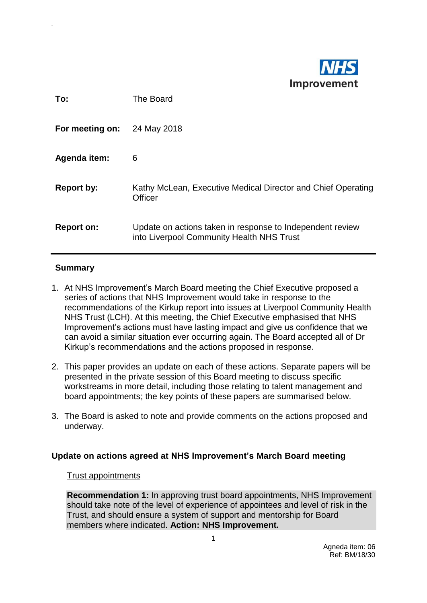

| To:               | The Board                                                                                              |
|-------------------|--------------------------------------------------------------------------------------------------------|
| For meeting on:   | 24 May 2018                                                                                            |
| Agenda item:      | 6                                                                                                      |
| <b>Report by:</b> | Kathy McLean, Executive Medical Director and Chief Operating<br>Officer                                |
| <b>Report on:</b> | Update on actions taken in response to Independent review<br>into Liverpool Community Health NHS Trust |

# **Summary**

- 1. At NHS Improvement's March Board meeting the Chief Executive proposed a series of actions that NHS Improvement would take in response to the recommendations of the Kirkup report into issues at Liverpool Community Health NHS Trust (LCH). At this meeting, the Chief Executive emphasised that NHS Improvement's actions must have lasting impact and give us confidence that we can avoid a similar situation ever occurring again. The Board accepted all of Dr Kirkup's recommendations and the actions proposed in response.
- 2. This paper provides an update on each of these actions. Separate papers will be presented in the private session of this Board meeting to discuss specific workstreams in more detail, including those relating to talent management and board appointments; the key points of these papers are summarised below.
- 3. The Board is asked to note and provide comments on the actions proposed and underway.

## **Update on actions agreed at NHS Improvement's March Board meeting**

## Trust appointments

**Recommendation 1:** In approving trust board appointments, NHS Improvement should take note of the level of experience of appointees and level of risk in the Trust, and should ensure a system of support and mentorship for Board members where indicated. **Action: NHS Improvement.**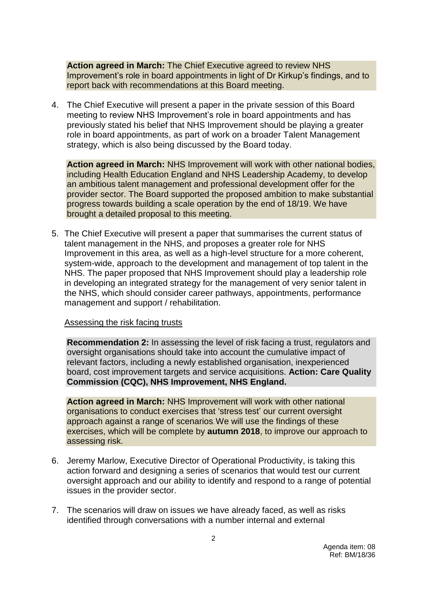**Action agreed in March:** The Chief Executive agreed to review NHS Improvement's role in board appointments in light of Dr Kirkup's findings, and to report back with recommendations at this Board meeting.

4. The Chief Executive will present a paper in the private session of this Board meeting to review NHS Improvement's role in board appointments and has previously stated his belief that NHS Improvement should be playing a greater role in board appointments, as part of work on a broader Talent Management strategy, which is also being discussed by the Board today.

**Action agreed in March:** NHS Improvement will work with other national bodies, including Health Education England and NHS Leadership Academy, to develop an ambitious talent management and professional development offer for the provider sector. The Board supported the proposed ambition to make substantial progress towards building a scale operation by the end of 18/19. We have brought a detailed proposal to this meeting.

5. The Chief Executive will present a paper that summarises the current status of talent management in the NHS, and proposes a greater role for NHS Improvement in this area, as well as a high-level structure for a more coherent, system-wide, approach to the development and management of top talent in the NHS. The paper proposed that NHS Improvement should play a leadership role in developing an integrated strategy for the management of very senior talent in the NHS, which should consider career pathways, appointments, performance management and support / rehabilitation.

#### Assessing the risk facing trusts

**Recommendation 2:** In assessing the level of risk facing a trust, regulators and oversight organisations should take into account the cumulative impact of relevant factors, including a newly established organisation, inexperienced board, cost improvement targets and service acquisitions. **Action: Care Quality Commission (CQC), NHS Improvement, NHS England.** 

**Action agreed in March:** NHS Improvement will work with other national organisations to conduct exercises that 'stress test' our current oversight approach against a range of scenarios. We will use the findings of these exercises, which will be complete by **autumn 2018**, to improve our approach to assessing risk.

- 6. Jeremy Marlow, Executive Director of Operational Productivity, is taking this action forward and designing a series of scenarios that would test our current oversight approach and our ability to identify and respond to a range of potential issues in the provider sector.
- 7. The scenarios will draw on issues we have already faced, as well as risks identified through conversations with a number internal and external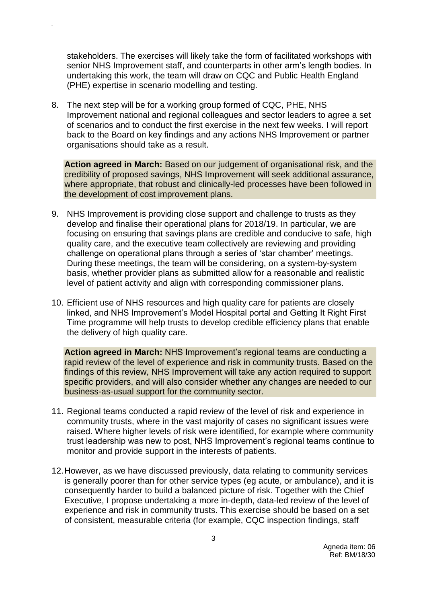stakeholders. The exercises will likely take the form of facilitated workshops with senior NHS Improvement staff, and counterparts in other arm's length bodies. In undertaking this work, the team will draw on CQC and Public Health England (PHE) expertise in scenario modelling and testing.

8. The next step will be for a working group formed of CQC, PHE, NHS Improvement national and regional colleagues and sector leaders to agree a set of scenarios and to conduct the first exercise in the next few weeks. I will report back to the Board on key findings and any actions NHS Improvement or partner organisations should take as a result.

**Action agreed in March:** Based on our judgement of organisational risk, and the credibility of proposed savings, NHS Improvement will seek additional assurance, where appropriate, that robust and clinically-led processes have been followed in the development of cost improvement plans.

- 9. NHS Improvement is providing close support and challenge to trusts as they develop and finalise their operational plans for 2018/19. In particular, we are focusing on ensuring that savings plans are credible and conducive to safe, high quality care, and the executive team collectively are reviewing and providing challenge on operational plans through a series of 'star chamber' meetings. During these meetings, the team will be considering, on a system-by-system basis, whether provider plans as submitted allow for a reasonable and realistic level of patient activity and align with corresponding commissioner plans.
- 10. Efficient use of NHS resources and high quality care for patients are closely linked, and NHS Improvement's Model Hospital portal and Getting It Right First Time programme will help trusts to develop credible efficiency plans that enable the delivery of high quality care.

**Action agreed in March:** NHS Improvement's regional teams are conducting a rapid review of the level of experience and risk in community trusts. Based on the findings of this review, NHS Improvement will take any action required to support specific providers, and will also consider whether any changes are needed to our business-as-usual support for the community sector.

- 11. Regional teams conducted a rapid review of the level of risk and experience in community trusts, where in the vast majority of cases no significant issues were raised. Where higher levels of risk were identified, for example where community trust leadership was new to post, NHS Improvement's regional teams continue to monitor and provide support in the interests of patients.
- 12.However, as we have discussed previously, data relating to community services is generally poorer than for other service types (eg acute, or ambulance), and it is consequently harder to build a balanced picture of risk. Together with the Chief Executive, I propose undertaking a more in-depth, data-led review of the level of experience and risk in community trusts. This exercise should be based on a set of consistent, measurable criteria (for example, CQC inspection findings, staff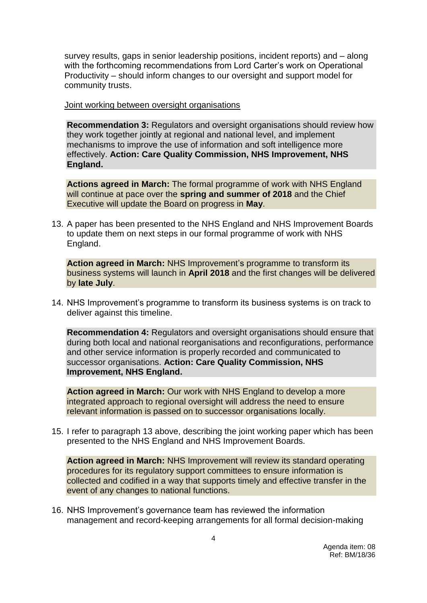survey results, gaps in senior leadership positions, incident reports) and – along with the forthcoming recommendations from Lord Carter's work on Operational Productivity – should inform changes to our oversight and support model for community trusts.

Joint working between oversight organisations

**Recommendation 3:** Regulators and oversight organisations should review how they work together jointly at regional and national level, and implement mechanisms to improve the use of information and soft intelligence more effectively. **Action: Care Quality Commission, NHS Improvement, NHS England.** 

**Actions agreed in March:** The formal programme of work with NHS England will continue at pace over the **spring and summer of 2018** and the Chief Executive will update the Board on progress in **May**.

13. A paper has been presented to the NHS England and NHS Improvement Boards to update them on next steps in our formal programme of work with NHS England.

**Action agreed in March:** NHS Improvement's programme to transform its business systems will launch in **April 2018** and the first changes will be delivered by **late July**.

14. NHS Improvement's programme to transform its business systems is on track to deliver against this timeline.

**Recommendation 4:** Regulators and oversight organisations should ensure that during both local and national reorganisations and reconfigurations, performance and other service information is properly recorded and communicated to successor organisations. **Action: Care Quality Commission, NHS Improvement, NHS England.**

**Action agreed in March:** Our work with NHS England to develop a more integrated approach to regional oversight will address the need to ensure relevant information is passed on to successor organisations locally.

15. I refer to paragraph 13 above, describing the joint working paper which has been presented to the NHS England and NHS Improvement Boards.

**Action agreed in March:** NHS Improvement will review its standard operating procedures for its regulatory support committees to ensure information is collected and codified in a way that supports timely and effective transfer in the event of any changes to national functions.

16. NHS Improvement's governance team has reviewed the information management and record-keeping arrangements for all formal decision-making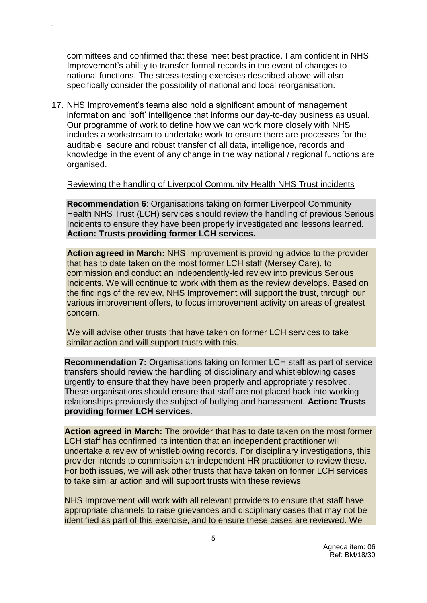committees and confirmed that these meet best practice. I am confident in NHS Improvement's ability to transfer formal records in the event of changes to national functions. The stress-testing exercises described above will also specifically consider the possibility of national and local reorganisation.

17. NHS Improvement's teams also hold a significant amount of management information and 'soft' intelligence that informs our day-to-day business as usual. Our programme of work to define how we can work more closely with NHS includes a workstream to undertake work to ensure there are processes for the auditable, secure and robust transfer of all data, intelligence, records and knowledge in the event of any change in the way national / regional functions are organised.

### Reviewing the handling of Liverpool Community Health NHS Trust incidents

**Recommendation 6**: Organisations taking on former Liverpool Community Health NHS Trust (LCH) services should review the handling of previous Serious Incidents to ensure they have been properly investigated and lessons learned. **Action: Trusts providing former LCH services.**

**Action agreed in March:** NHS Improvement is providing advice to the provider that has to date taken on the most former LCH staff (Mersey Care), to commission and conduct an independently-led review into previous Serious Incidents. We will continue to work with them as the review develops. Based on the findings of the review, NHS Improvement will support the trust, through our various improvement offers, to focus improvement activity on areas of greatest concern.

We will advise other trusts that have taken on former LCH services to take similar action and will support trusts with this.

**Recommendation 7:** Organisations taking on former LCH staff as part of service transfers should review the handling of disciplinary and whistleblowing cases urgently to ensure that they have been properly and appropriately resolved. These organisations should ensure that staff are not placed back into working relationships previously the subject of bullying and harassment. **Action: Trusts providing former LCH services**.

**Action agreed in March:** The provider that has to date taken on the most former LCH staff has confirmed its intention that an independent practitioner will undertake a review of whistleblowing records. For disciplinary investigations, this provider intends to commission an independent HR practitioner to review these. For both issues, we will ask other trusts that have taken on former LCH services to take similar action and will support trusts with these reviews.

NHS Improvement will work with all relevant providers to ensure that staff have appropriate channels to raise grievances and disciplinary cases that may not be identified as part of this exercise, and to ensure these cases are reviewed. We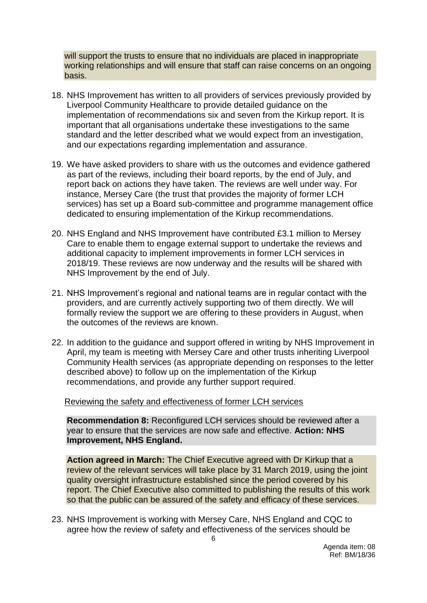will support the trusts to ensure that no individuals are placed in inappropriate working relationships and will ensure that staff can raise concerns on an ongoing basis.

- 18. NHS Improvement has written to all providers of services previously provided by Liverpool Community Healthcare to provide detailed guidance on the implementation of recommendations six and seven from the Kirkup report. It is important that all organisations undertake these investigations to the same standard and the letter described what we would expect from an investigation, and our expectations regarding implementation and assurance.
- 19. We have asked providers to share with us the outcomes and evidence gathered as part of the reviews, including their board reports, by the end of July, and report back on actions they have taken. The reviews are well under way. For instance, Mersey Care (the trust that provides the majority of former LCH services) has set up a Board sub-committee and programme management office dedicated to ensuring implementation of the Kirkup recommendations.
- 20. NHS England and NHS Improvement have contributed £3.1 million to Mersey Care to enable them to engage external support to undertake the reviews and additional capacity to implement improvements in former LCH services in 2018/19. These reviews are now underway and the results will be shared with NHS Improvement by the end of July.
- 21. NHS Improvement's regional and national teams are in regular contact with the providers, and are currently actively supporting two of them directly. We will formally review the support we are offering to these providers in August, when the outcomes of the reviews are known.
- 22. In addition to the guidance and support offered in writing by NHS Improvement in April, my team is meeting with Mersey Care and other trusts inheriting Liverpool Community Health services (as appropriate depending on responses to the letter described above) to follow up on the implementation of the Kirkup recommendations, and provide any further support required.

#### Reviewing the safety and effectiveness of former LCH services

**Recommendation 8:** Reconfigured LCH services should be reviewed after a year to ensure that the services are now safe and effective. **Action: NHS Improvement, NHS England.** 

**Action agreed in March:** The Chief Executive agreed with Dr Kirkup that a review of the relevant services will take place by 31 March 2019, using the joint quality oversight infrastructure established since the period covered by his report. The Chief Executive also committed to publishing the results of this work so that the public can be assured of the safety and efficacy of these services.

23. NHS Improvement is working with Mersey Care, NHS England and CQC to agree how the review of safety and effectiveness of the services should be